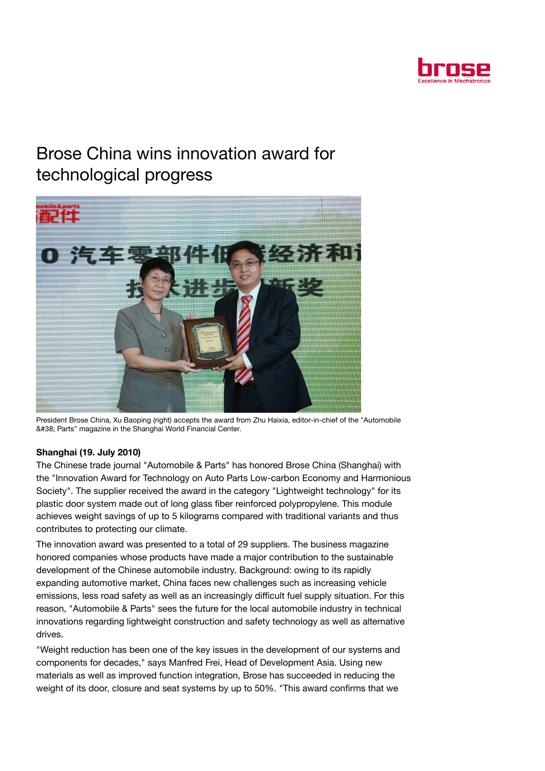

## Brose China wins innovation award for technological progress



President Brose China, Xu Baoping (right) accepts the award from Zhu Haixia, editor-in-chief of the "Automobile &#38: Parts" magazine in the Shanghai World Financial Center.

## Shanghai (19. July 2010)

The Chinese trade journal "Automobile & Parts" has honored Brose China (Shanghai) with the "Innovation Award for Technology on Auto Parts Low-carbon Economy and Harmonious Society". The supplier received the award in the category "Lightweight technology" for its plastic door system made out of long glass fiber reinforced polypropylene. This module achieves weight savings of up to 5 kilograms compared with traditional variants and thus contributes to protecting our climate.

The innovation award was presented to a total of 29 suppliers. The business magazine honored companies whose products have made a major contribution to the sustainable development of the Chinese automobile industry. Background: owing to its rapidly expanding automotive market, China faces new challenges such as increasing vehicle emissions, less road safety as well as an increasingly difficult fuel supply situation. For this reason, "Automobile & Parts" sees the future for the local automobile industry in technical innovations regarding lightweight construction and safety technology as well as alternative drives.

"Weight reduction has been one of the key issues in the development of our systems and components for decades," says Manfred Frei, Head of Development Asia. Using new materials as well as improved function integration, Brose has succeeded in reducing the weight of its door, closure and seat systems by up to 50%. "This award confirms that we